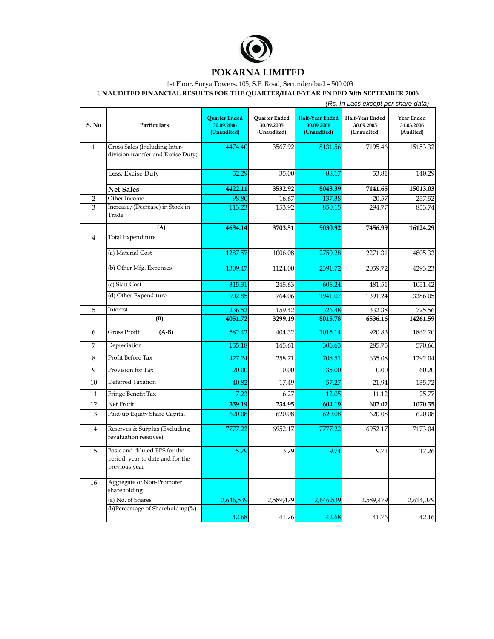

## **POKARNA LIMITED**

## 1st Floor, Surya Towers, 105, S.P. Road, Secunderabad – 500 003

**UNAUDITED FINANCIAL RESULTS FOR THE QUARTER/HALF-YEAR ENDED 30th SEPTEMBER 2006**

|                |                                                                                    |                                                   | (Rs. In Lacs except per share data)        |                                                     |                                              |                                       |  |  |
|----------------|------------------------------------------------------------------------------------|---------------------------------------------------|--------------------------------------------|-----------------------------------------------------|----------------------------------------------|---------------------------------------|--|--|
| S. No          | Particulars                                                                        | <b>Quarter Ended</b><br>30.09.2006<br>(Unaudited) | Quarter Ended<br>30.09.2005<br>(Unaudited) | <b>Half-Year Ended</b><br>30.09.2006<br>(Unaudited) | Half-Year Ended<br>30.09.2005<br>(Unaudited) | Year Ended<br>31.03.2006<br>(Audited) |  |  |
| $\mathbf{1}$   | Gross Sales (Including Inter-<br>division transfer and Excise Duty)                | 4474.40                                           | 3567.92                                    | 8131.56                                             | 7195.46                                      | 15153.32                              |  |  |
|                | Less: Excise Duty                                                                  | 52.29                                             | 35.00                                      | 88.17                                               | 53.81                                        | 140.29                                |  |  |
|                | <b>Net Sales</b>                                                                   | 4422.11                                           | 3532.92                                    | 8043.39                                             | 7141.65                                      | 15013.03                              |  |  |
| $\overline{2}$ | Other Income                                                                       | 98.80                                             | 16.67                                      | 137.38                                              | 20.57                                        | 257.52                                |  |  |
| 3              | Increase/(Decrease) in Stock in<br>Trade                                           | 113.23                                            | 153.92                                     | 850.15                                              | 294.77                                       | 853.74                                |  |  |
|                | (A)                                                                                | 4634.14                                           | 3703.51                                    | 9030.92                                             | 7456.99                                      | 16124.29                              |  |  |
| $\overline{4}$ | <b>Total Expenditure</b>                                                           |                                                   |                                            |                                                     |                                              |                                       |  |  |
|                | (a) Material Cost                                                                  | 1287.57                                           | 1006.08                                    | 2750.28                                             | 2271.31                                      | 4805.33                               |  |  |
|                | (b) Other Mfg. Expenses                                                            | 1309.47                                           | 1124.00                                    | 2391.72                                             | 2059.72                                      | 4293.23                               |  |  |
|                | (c) Staff Cost                                                                     | 315.31                                            | 245.63                                     | 606.24                                              | 481.51                                       | 1051.42                               |  |  |
|                | (d) Other Expenditure                                                              | 902.85                                            | 764.06                                     | 1941.07                                             | 1391.24                                      | 3386.05                               |  |  |
| 5              | Interest                                                                           | 236.52                                            | 159.42                                     | 326.48                                              | 332.38                                       | 725.56                                |  |  |
|                | (B)                                                                                | 4051.72                                           | 3299.19                                    | 8015.78                                             | 6536.16                                      | 14261.59                              |  |  |
| 6              | Gross Profit<br>$(A-B)$                                                            | 582.42                                            | 404.32                                     | 1015.14                                             | 920.83                                       | 1862.70                               |  |  |
| 7              | Depreciation                                                                       | 155.18                                            | 145.61                                     | 306.63                                              | 285.75                                       | 570.66                                |  |  |
| 8              | Profit Before Tax                                                                  | 427.24                                            | 258.71                                     | 708.51                                              | 635.08                                       | 1292.04                               |  |  |
| 9              | Provision for Tax                                                                  | 20.00                                             | 0.00                                       | 35.00                                               | 0.00                                         | 60.20                                 |  |  |
| 10             | Deferred Taxation                                                                  | 40.82                                             | 17.49                                      | 57.27                                               | 21.94                                        | 135.72                                |  |  |
| 11             | Fringe Benefit Tax                                                                 | 7.23                                              | 6.27                                       | 12.05                                               | 11.12                                        | 25.77                                 |  |  |
| 12             | Net Profit                                                                         | 359.19                                            | 234.95                                     | 604.19                                              | 602.02                                       | 1070.35                               |  |  |
| 13             | Paid-up Equity Share Capital                                                       | 620.08                                            | 620.08                                     | 620.08                                              | 620.08                                       | 620.08                                |  |  |
| 14             | Reserves & Surplus (Excluding<br>revaluation reserves)                             | 7777.22                                           | 6952.17                                    | 7777.22                                             | 6952.17                                      | 7173.04                               |  |  |
| 15             | Basic and diluted EPS for the<br>period, year to date and for the<br>previous year | 5.79                                              | 3.79                                       | 9.74                                                | 9.71                                         | 17.26                                 |  |  |
| 16             | Aggregate of Non-Promoter<br>shareholding                                          |                                                   |                                            |                                                     |                                              |                                       |  |  |
|                | (a) No. of Shares                                                                  | 2,646,539                                         | 2,589,479                                  | 2,646,539                                           | 2,589,479                                    | 2,614,079                             |  |  |
|                | (b)Percentage of Shareholding(%)                                                   | 42.68                                             | 41.76                                      | 42.68                                               | 41.76                                        | 42.16                                 |  |  |